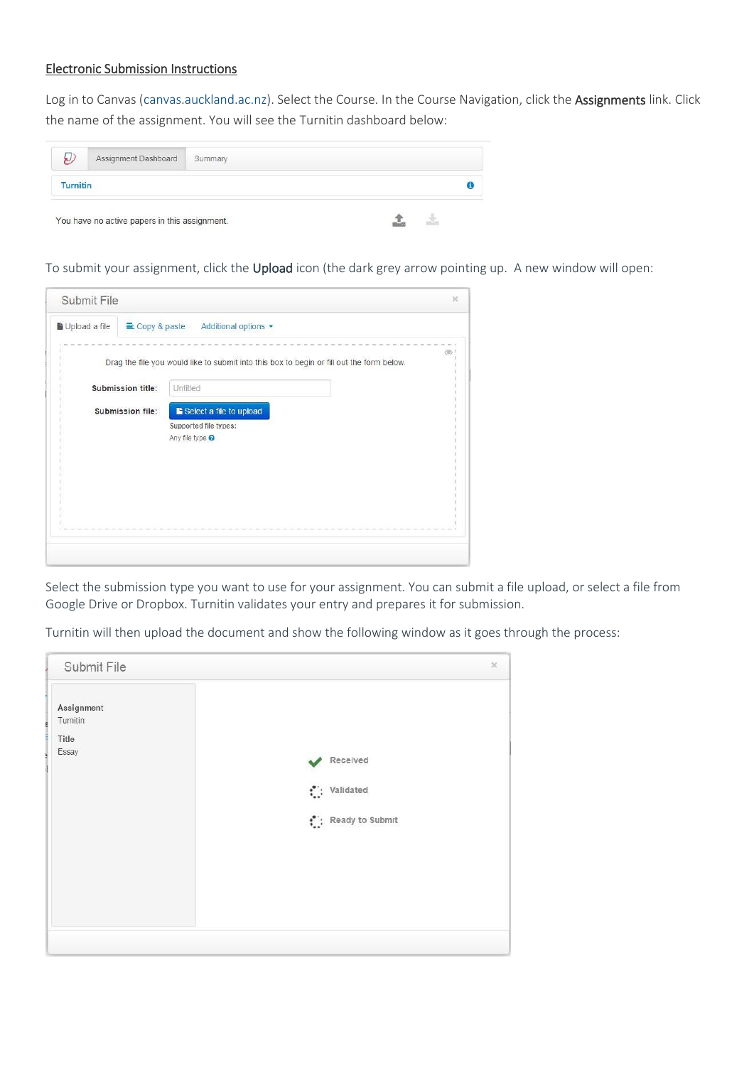## Electronic Submission Instructions

Log in to Canvas [\(canvas.auckland.ac.nz\)](http://canvas.auckland.ac.nz/). Select the Course. In the Course Navigation, click the Assignments link. Click the name of the assignment. You will see the Turnitin dashboard below:

|                 | Assignment Dashboard                          | Summary |  |
|-----------------|-----------------------------------------------|---------|--|
| <b>Turnitin</b> |                                               |         |  |
|                 | You have no active papers in this assignment. |         |  |

To submit your assignment, click the Upload icon (the dark grey arrow pointing up. A new window will open:

| Copy & paste<br>Additional options                                                        |
|-------------------------------------------------------------------------------------------|
|                                                                                           |
| Drag the file you would like to submit into this box to begin or fill out the form below. |
| Untitled                                                                                  |
| Select a file to upload                                                                   |
| Supported file types:                                                                     |
| Any file type <sup>O</sup>                                                                |
|                                                                                           |
|                                                                                           |
|                                                                                           |
|                                                                                           |
|                                                                                           |
|                                                                                           |
|                                                                                           |

Select the submission type you want to use for your assignment. You can submit a file upload, or select a file from Google Drive or Dropbox. Turnitin validates your entry and prepares it for submission.

Turnitin will then upload the document and show the following window as it goes through the process:

| Submit File                              | $\chi$                                                              |
|------------------------------------------|---------------------------------------------------------------------|
| Assignment<br>Turnitin<br>Title<br>Essay | Received<br>$\cdot$ : Validated<br>$\binom{6}{1}$ : Ready to Submit |
|                                          |                                                                     |